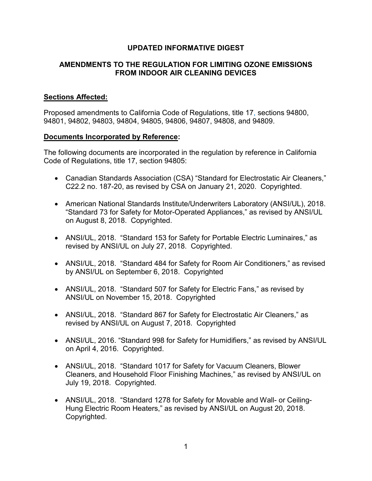# **UPDATED INFORMATIVE DIGEST**

# **AMENDMENTS TO THE REGULATION FOR LIMITING OZONE EMISSIONS FROM INDOOR AIR CLEANING DEVICES**

# **Sections Affected:**

 Proposed amendments to California Code of Regulations, title 17, sections 94800, 94801, 94802, 94803, 94804, 94805, 94806, 94807, 94808, and 94809.

#### **Documents Incorporated by Reference:**

 The following documents are incorporated in the regulation by reference in California Code of Regulations, title 17, section 94805:

- Canadian Standards Association (CSA) "Standard for Electrostatic Air Cleaners," C22.2 no. 187-20, as revised by CSA on January 21, 2020. Copyrighted.
- on August 8, 2018. Copyrighted. • American National Standards Institute/Underwriters Laboratory (ANSI/UL), 2018. "Standard 73 for Safety for Motor-Operated Appliances," as revised by ANSI/UL
- • ANSI/UL, 2018. "Standard 153 for Safety for Portable Electric Luminaires," as revised by ANSI/UL on July 27, 2018. Copyrighted.
- • ANSI/UL, 2018. "Standard 484 for Safety for Room Air Conditioners," as revised by ANSI/UL on September 6, 2018. Copyrighted
- • ANSI/UL, 2018. "Standard 507 for Safety for Electric Fans," as revised by ANSI/UL on November 15, 2018. Copyrighted
- • ANSI/UL, 2018. "Standard 867 for Safety for Electrostatic Air Cleaners," as revised by ANSI/UL on August 7, 2018. Copyrighted
- on April 4, 2016. Copyrighted. • ANSI/UL, 2016. "Standard 998 for Safety for Humidifiers," as revised by ANSI/UL
- • ANSI/UL, 2018. "Standard 1017 for Safety for Vacuum Cleaners, Blower Cleaners, and Household Floor Finishing Machines," as revised by ANSI/UL on July 19, 2018. Copyrighted.
- Hung Electric Room Heaters," as revised by ANSI/UL on August 20, 2018. • ANSI/UL, 2018. "Standard 1278 for Safety for Movable and Wall- or Ceiling-Copyrighted.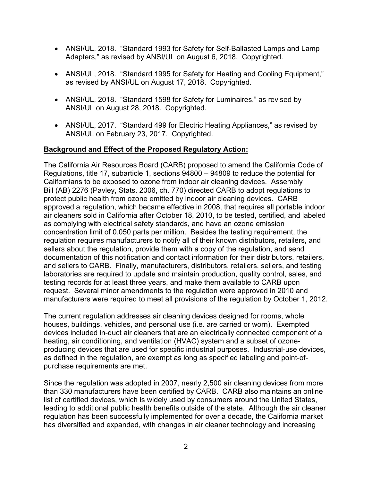- ANSI/UL, 2018. "Standard 1993 for Safety for Self-Ballasted Lamps and Lamp Adapters," as revised by ANSI/UL on August 6, 2018. Copyrighted.
- as revised by ANSI/UL on August 17, 2018. Copyrighted. • ANSI/UL, 2018. "Standard 1995 for Safety for Heating and Cooling Equipment,"
- ANSI/UL, 2018. "Standard 1598 for Safety for Luminaires," as revised by ANSI/UL on August 28, 2018. Copyrighted.
- • ANSI/UL, 2017. "Standard 499 for Electric Heating Appliances," as revised by ANSI/UL on February 23, 2017. Copyrighted.

# **Background and Effect of the Proposed Regulatory Action:**

 Regulations, title 17, subarticle 1, sections 94800 – 94809 to reduce the potential for Bill (AB) 2276 (Pavley, Stats. 2006, ch. 770) directed CARB to adopt regulations to air cleaners sold in California after October 18, 2010, to be tested, certified, and labeled concentration limit of 0.050 parts per million. Besides the testing requirement, the and sellers to CARB. Finally, manufacturers, distributors, retailers, sellers, and testing laboratories are required to update and maintain production, quality control, sales, and The California Air Resources Board (CARB) proposed to amend the California Code of Californians to be exposed to ozone from indoor air cleaning devices. Assembly protect public health from ozone emitted by indoor air cleaning devices. CARB approved a regulation, which became effective in 2008, that requires all portable indoor as complying with electrical safety standards, and have an ozone emission regulation requires manufacturers to notify all of their known distributors, retailers, and sellers about the regulation, provide them with a copy of the regulation, and send documentation of this notification and contact information for their distributors, retailers, testing records for at least three years, and make them available to CARB upon request. Several minor amendments to the regulation were approved in 2010 and manufacturers were required to meet all provisions of the regulation by October 1, 2012.

 houses, buildings, vehicles, and personal use (i.e. are carried or worn). Exempted producing devices that are used for specific industrial purposes. Industrial-use devices, The current regulation addresses air cleaning devices designed for rooms, whole devices included in-duct air cleaners that are an electrically connected component of a heating, air conditioning, and ventilation (HVAC) system and a subset of ozoneas defined in the regulation, are exempt as long as specified labeling and point-ofpurchase requirements are met.

 Since the regulation was adopted in 2007, nearly 2,500 air cleaning devices from more than 330 manufacturers have been certified by CARB. CARB also maintains an online list of certified devices, which is widely used by consumers around the United States, leading to additional public health benefits outside of the state. Although the air cleaner regulation has been successfully implemented for over a decade, the California market has diversified and expanded, with changes in air cleaner technology and increasing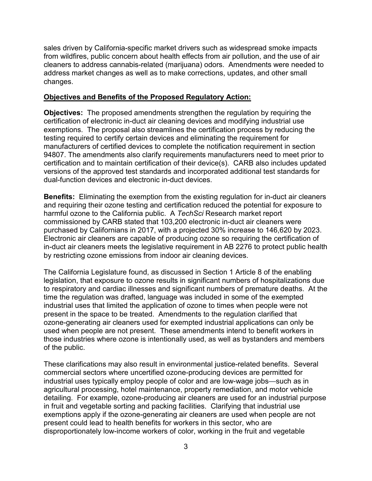from wildfires, public concern about health effects from air pollution, and the use of air sales driven by California-specific market drivers such as widespread smoke impacts cleaners to address cannabis-related (marijuana) odors. Amendments were needed to address market changes as well as to make corrections, updates, and other small changes.

### **Objectives and Benefits of the Proposed Regulatory Action:**

 **Objectives:** The proposed amendments strengthen the regulation by requiring the exemptions. The proposal also streamlines the certification process by reducing the testing required to certify certain devices and eliminating the requirement for 94807. The amendments also clarify requirements manufacturers need to meet prior to certification of electronic in-duct air cleaning devices and modifying industrial use manufacturers of certified devices to complete the notification requirement in section certification and to maintain certification of their device(s). CARB also includes updated versions of the approved test standards and incorporated additional test standards for dual-function devices and electronic in-duct devices.

 **Benefits:** Eliminating the exemption from the existing regulation for in-duct air cleaners harmful ozone to the California public. A *TechSci* Research market report purchased by Californians in 2017, with a projected 30% increase to 146,620 by 2023. and requiring their ozone testing and certification reduced the potential for exposure to commissioned by CARB stated that 103,200 electronic in-duct air cleaners were Electronic air cleaners are capable of producing ozone so requiring the certification of in-duct air cleaners meets the legislative requirement in AB 2276 to protect public health by restricting ozone emissions from indoor air cleaning devices.

 to respiratory and cardiac illnesses and significant numbers of premature deaths. At the present in the space to be treated. Amendments to the regulation clarified that used when people are not present. These amendments intend to benefit workers in The California Legislature found, as discussed in Section 1 Article 8 of the enabling legislation, that exposure to ozone results in significant numbers of hospitalizations due time the regulation was drafted, language was included in some of the exempted industrial uses that limited the application of ozone to times when people were not ozone-generating air cleaners used for exempted industrial applications can only be those industries where ozone is intentionally used, as well as bystanders and members of the public.

 These clarifications may also result in environmental justice-related benefits. Several commercial sectors where uncertified ozone-producing devices are permitted for industrial uses typically employ people of color and are low-wage jobs—such as in agricultural processing, hotel maintenance, property remediation, and motor vehicle detailing. For example, ozone-producing air cleaners are used for an industrial purpose in fruit and vegetable sorting and packing facilities. Clarifying that industrial use exemptions apply if the ozone-generating air cleaners are used when people are not present could lead to health benefits for workers in this sector, who are disproportionately low-income workers of color, working in the fruit and vegetable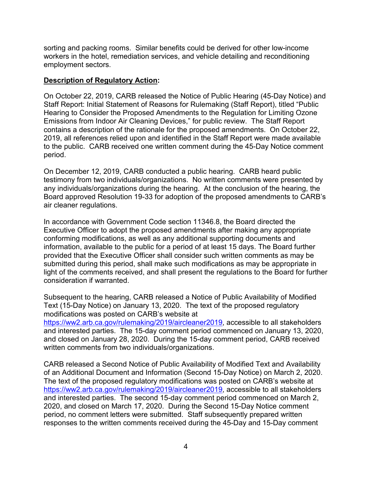sorting and packing rooms. Similar benefits could be derived for other low-income employment sectors. workers in the hotel, remediation services, and vehicle detailing and reconditioning

#### **Description of Regulatory Action:**

 Staff Report: Initial Statement of Reasons for Rulemaking (Staff Report), titled "Public period. On October 22, 2019, CARB released the Notice of Public Hearing (45-Day Notice) and Hearing to Consider the Proposed Amendments to the Regulation for Limiting Ozone Emissions from Indoor Air Cleaning Devices," for public review. The Staff Report contains a description of the rationale for the proposed amendments. On October 22, 2019, all references relied upon and identified in the Staff Report were made available to the public. CARB received one written comment during the 45-Day Notice comment

period.<br>On December 12, 2019, CARB conducted a public hearing. CARB heard public testimony from two individuals/organizations. No written comments were presented by air cleaner regulations. any individuals/organizations during the hearing. At the conclusion of the hearing, the Board approved Resolution 19-33 for adoption of the proposed amendments to CARB's

 information, available to the public for a period of at least 15 days. The Board further In accordance with Government Code section 11346.8, the Board directed the Executive Officer to adopt the proposed amendments after making any appropriate conforming modifications, as well as any additional supporting documents and provided that the Executive Officer shall consider such written comments as may be submitted during this period, shall make such modifications as may be appropriate in light of the comments received, and shall present the regulations to the Board for further consideration if warranted.

 Text (15-Day Notice) on January 13, 2020. The text of the proposed regulatory and interested parties. The 15-day comment period commenced on January 13, 2020, and closed on January 28, 2020. During the 15-day comment period, CARB received Subsequent to the hearing, CARB released a Notice of Public Availability of Modified modifications was posted on CARB's website at [https://ww2.arb.ca.gov/rulemaking/2019/aircleaner2019,](https://ww2.arb.ca.gov/rulemaking/2019/aircleaner2019) accessible to all stakeholders written comments from two individuals/organizations.

of an Additional Document and Information (Second 15-Day Notice) on March 2, 2020. 2020, and closed on March 17, 2020. During the Second 15-Day Notice comment CARB released a Second Notice of Public Availability of Modified Text and Availability The text of the proposed regulatory modifications was posted on CARB's website at [https://ww2.arb.ca.gov/rulemaking/2019/aircleaner2019,](https://ww2.arb.ca.gov/rulemaking/2019/aircleaner2019) accessible to all stakeholders and interested parties. The second 15-day comment period commenced on March 2, period, no comment letters were submitted. Staff subsequently prepared written responses to the written comments received during the 45-Day and 15-Day comment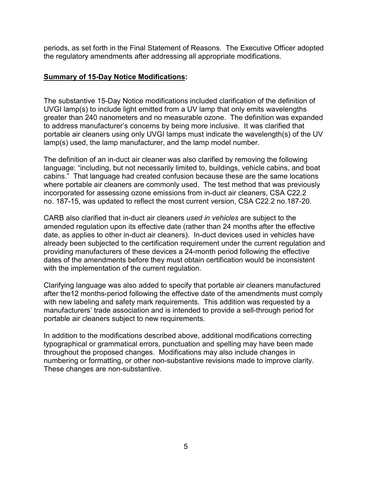periods, as set forth in the Final Statement of Reasons. The Executive Officer adopted the regulatory amendments after addressing all appropriate modifications.

### **Summary of 15-Day Notice Modifications:**

The substantive 15-Day Notice modifications included clarification of the definition of UVGI lamp(s) to include light emitted from a UV lamp that only emits wavelengths greater than 240 nanometers and no measurable ozone. The definition was expanded to address manufacturer's concerns by being more inclusive. It was clarified that portable air cleaners using only UVGI lamps must indicate the wavelength(s) of the UV lamp(s) used, the lamp manufacturer, and the lamp model number.

 cabins." That language had created confusion because these are the same locations no. 187-15, was updated to reflect the most current version, CSA C22.2 no.187-20. The definition of an in-duct air cleaner was also clarified by removing the following language: "including, but not necessarily limited to, buildings, vehicle cabins, and boat where portable air cleaners are commonly used. The test method that was previously incorporated for assessing ozone emissions from in-duct air cleaners, CSA C22.2

 date, as applies to other in-duct air cleaners). In-duct devices used in vehicles have with the implementation of the current regulation. CARB also clarified that in-duct air cleaners *used in vehicles* are subject to the amended regulation upon its effective date (rather than 24 months after the effective already been subjected to the certification requirement under the current regulation and providing manufacturers of these devices a 24-month period following the effective dates of the amendments before they must obtain certification would be inconsistent

 with new labeling and safety mark requirements. This addition was requested by a Clarifying language was also added to specify that portable air cleaners manufactured after the12 months-period following the effective date of the amendments must comply manufacturers' trade association and is intended to provide a sell-through period for portable air cleaners subject to new requirements.

In addition to the modifications described above, additional modifications correcting typographical or grammatical errors, punctuation and spelling may have been made throughout the proposed changes. Modifications may also include changes in numbering or formatting, or other non-substantive revisions made to improve clarity. These changes are non-substantive.